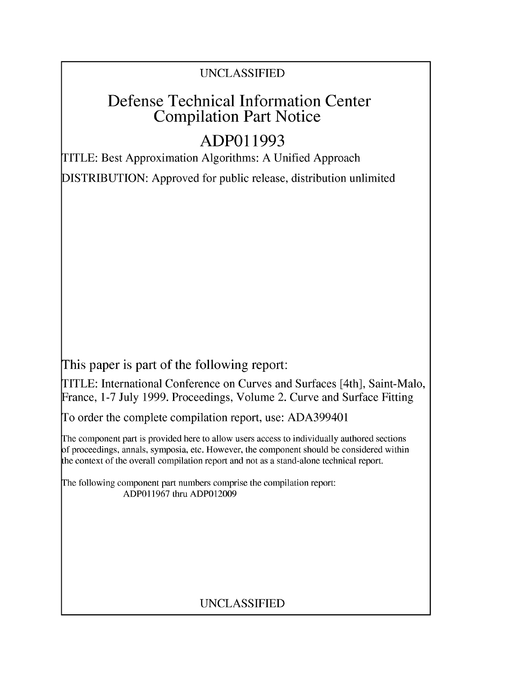### UNCLASSIFIED

## Defense Technical Information Center Compilation Part Notice

# **ADPO 11993**

TITLE: Best Approximation Algorithms: A Unified Approach

DISTRIBUTION: Approved for public release, distribution unlimited

This paper is part of the following report:

TITLE: International Conference on Curves and Surfaces [4th], Saint-Malo, France, 1-7 July 1999. Proceedings, Volume 2. Curve and Surface Fitting

To order the complete compilation report, use: ADA399401

The component part is provided here to allow users access to individually authored sections f proceedings, annals, symposia, etc. However, the component should be considered within [he context of the overall compilation report and not as a stand-alone technical report.

The following component part numbers comprise the compilation report: ADP011967 thru ADPO12009

### UNCLASSIFIED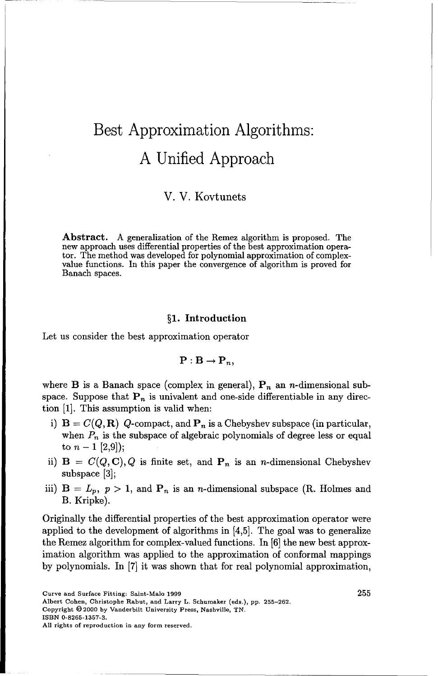# Best Approximation Algorithms: A Unified Approach

V. V. Kovtunets

Abstract. A generalization of the Remez algorithm is proposed. The new approach uses differential properties of the best approximation operator. The method was developed for polynomial approximation of complex- value functions. In this paper the convergence of algorithm is proved for Banach spaces.

#### §1. Introduction

Let us consider the best approximation operator

$$
\mathbf{P}:\mathbf{B}\to\mathbf{P}_n,
$$

where **B** is a Banach space (complex in general),  $P_n$  an *n*-dimensional subspace. Suppose that  $P_n$  is univalent and one-side differentiable in any direction [1]. This assumption is valid when:

- i)  $\mathbf{B} = C(Q, \mathbf{R})$  Q-compact, and  $\mathbf{P}_n$  is a Chebyshev subspace (in particular, when  $P_n$  is the subspace of algebraic polynomials of degree less or equal to  $n-1$  [2,9]);
- ii)  $B = C(Q, C), Q$  is finite set, and  $P_n$  is an *n*-dimensional Chebyshev subspace [3];
- iii)  $B = L_p$ ,  $p > 1$ , and  $P_n$  is an *n*-dimensional subspace (R. Holmes and B. Kripke).

Originally the differential properties of the best approximation operator were applied to the development of algorithms in [4,5]. The goal was to generalize the Remez algorithm for complex-valued functions. In [6] the new best approximation algorithm was applied to the approximation of conformal mappings by polynomials. In [7] it was shown that for real polynomial approximation,

Curve and Surface Fitting: Saint-Malo 1999 255 Albert Cohen, Christophe Rabut, and Larry L. Schumaker (eds.), **pp. 255-262.** Copyright 02000 **by** Vanderbilt University Press, Nashville, **TN.**

ISBN **0-8265-1357-3.**

**All** rights of reproduction in any form reserved.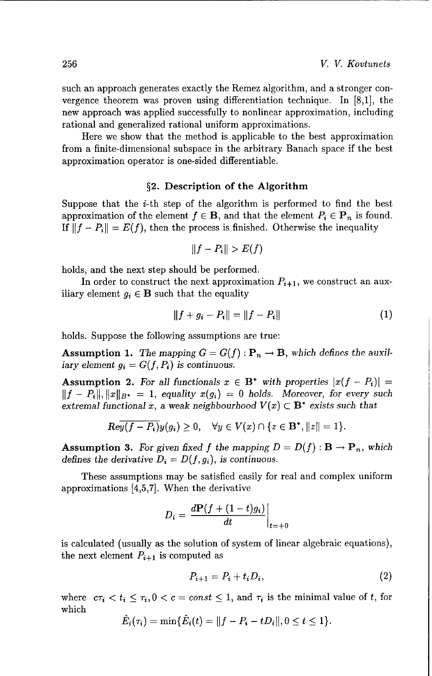such an approach generates exactly the Remez algorithm, and a stronger convergence theorem was proven using differentiation technique. In [8,1], the new approach was applied successfully to nonlinear approximation, including rational and generalized rational uniform approximations.

Here we show that the method is applicable to the best approximation from a finite-dimensional subspace in the arbitrary Banach space if the best approximation operator is one-sided differentiable.

#### §2. Description of the Algorithm

Suppose that the  $i$ -th step of the algorithm is performed to find the best approximation of the element  $f \in \mathbf{B}$ , and that the element  $P_i \in \mathbf{P}_n$  is found. If  $||f - P_i|| = E(f)$ , then the process is finished. Otherwise the inequality

 $||f - P_i|| > E(f)$ 

holds, and the next step should be performed.

In order to construct the next approximation  $P_{i+1}$ , we construct an auxiliary element  $g_i \in \mathbf{B}$  such that the equality

$$
||f + g_i - P_i|| = ||f - P_i|| \tag{1}
$$

holds. Suppose the following assumptions are true:

Assumption 1. The mapping  $G = G(f) : \mathbf{P}_n \to \mathbf{B}$ , which defines the auxil*iary element*  $g_i = G(f, P_i)$  *is continuous.* 

**Assumption 2.** For all functionals  $x \in \mathbf{B}^*$  with properties  $|x(f - P_i)| =$  $||f - P_i||, ||x||_{B^*} = 1$ , *equality*  $x(g_i) = 0$  *holds. Moreover, for every such extremal functional x, a weak neighbourhood*  $V(x) \subset \mathbf{B}^*$  *exists such that* 

$$
Re \overline{y(f-P_i)}y(g_i) \ge 0, \quad \forall y \in V(x) \cap \{z \in \mathbf{B}^*, ||z|| = 1\}.
$$

**Assumption 3.** For given fixed f the mapping  $D = D(f) : \mathbf{B} \to \mathbf{P}_n$ , which *defines the derivative*  $D_i = D(f, g_i)$ , is continuous.

These assumptions may be satisfied easily for real and complex uniform approximations [4,5,7]. When the derivative

$$
D_i = \left. \frac{d\mathbf{P}(f + (1-t)g_i)}{dt} \right|_{t = +0}
$$

is calculated (usually as the solution of system of linear algebraic equations), the next element  $P_{i+1}$  is computed as

$$
P_{i+1} = P_i + t_i D_i,\tag{2}
$$

where  $c\tau_i < t_i \leq \tau_i, 0 < c = const \leq 1$ , and  $\tau_i$  is the minimal value of t, for which

$$
\hat{E}_i(\tau_i) = \min{\{\hat{E}_i(t) = ||f - P_i - tD_i||, 0 \le t \le 1\}}.
$$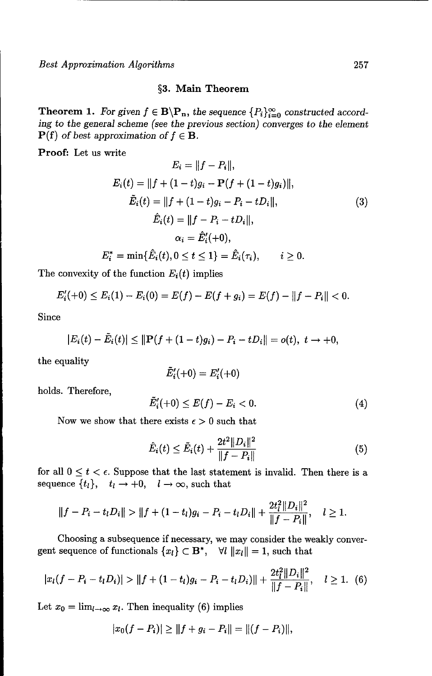#### **§3.** Main Theorem

**Theorem 1.** For given  $f \in B \backslash P_n$ , the sequence  $\{P_i\}_{i=0}^{\infty}$  constructed accord*ing* to the *general scheme (see the previous section) converges to the* element  $P(f)$  *of best approximation of*  $f \in B$ .

Proof. Let us write **Proof.** Let us write

$$
E_i = ||f - P_i||,
$$
  
\n
$$
E_i(t) = ||f + (1 - t)g_i - P(f + (1 - t)g_i)||,
$$
  
\n
$$
\tilde{E}_i(t) = ||f + (1 - t)g_i - P_i - tD_i||,
$$
  
\n
$$
\hat{E}_i(t) = ||f - P_i - tD_i||,
$$
  
\n
$$
\alpha_i = \hat{E}'_i(+0),
$$
  
\n
$$
E_i^* = \min{\{\hat{E}_i(t), 0 \le t \le 1\}} = \hat{E}_i(\tau_i), \qquad i \ge 0.
$$

The convexity of the function  $E_i(t)$  implies

$$
E'_{i}(+0) \leq E_{i}(1) - E_{i}(0) = E(f) - E(f + g_{i}) = E(f) - ||f - P_{i}|| < 0.
$$

Since

$$
|E_i(t) - \tilde{E}_i(t)| \leq ||\mathbf{P}(f + (1-t)g_i) - P_i - tD_i|| = o(t), t \to +0,
$$

the equality

$$
\tilde{E}'_i(+0)=E'_i(+0)
$$

holds. Therefore,

$$
\tilde{E}'_i(+0) \le E(f) - E_i < 0. \tag{4}
$$

Now we show that there exists  $\epsilon > 0$  such that

$$
\hat{E}_i(t) \le \tilde{E}_i(t) + \frac{2t^2 ||D_i||^2}{||f - P_i||} \tag{5}
$$

for all  $0 \leq t < \epsilon$ . Suppose that the last statement is invalid. Then there is a sequence  $\{t_l\}$ ,  $t_l \rightarrow +0$ ,  $l \rightarrow \infty$ , such that

$$
||f - P_i - t_l D_i|| > ||f + (1 - t_l)g_i - P_i - t_l D_i|| + \frac{2t_l^2 ||D_i||^2}{||f - P_i||}, \quad l \ge 1.
$$

Choosing a subsequence if necessary, we may consider the weakly convergent sequence of functionals  $\{x_l\} \subset \mathbf{B}^*$ ,  $\forall l$   $||x_l|| = 1$ , such that

$$
|x_{l}(f-P_{i}-t_{l}D_{i})| > \|f+(1-t_{l})g_{i}-P_{i}-t_{l}D_{i})\|+\frac{2t_{l}^{2}\|D_{i}\|^{2}}{\|f-P_{i}\|}, \quad l \geq 1. \tag{6}
$$

Let  $x_0 = \lim_{l \to \infty} x_l$ . Then inequality (6) implies

$$
|x_0(f - P_i)| \ge ||f + g_i - P_i|| = ||(f - P_i)||,
$$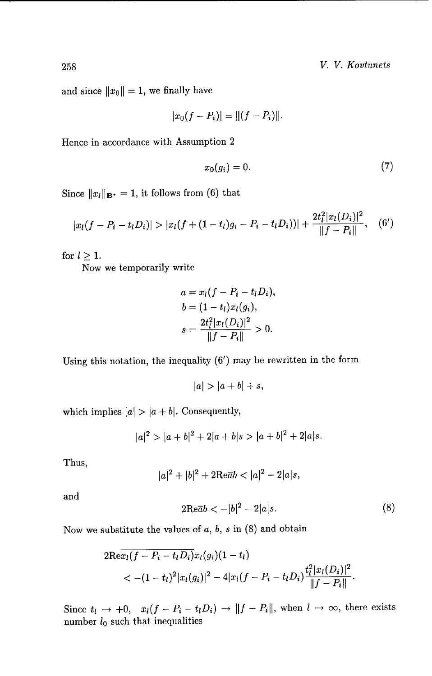and since  $||x_0|| = 1$ , we finally have

$$
|x_0(f-P_i)| = ||(f-P_i)||.
$$

Hence in accordance with Assumption 2

$$
x_0(g_i) = 0.\t\t(7)
$$

Since  $||x_l||_{\mathbf{B}^*} = 1$ , it follows from (6) that

$$
|x_l(f - P_i - t_l D_i)| > |x_l(f + (1 - t_l)g_i - P_i - t_l D_i)| + \frac{2t_l^2 |x_l(D_i)|^2}{\|f - P_i\|}, \quad (6')
$$

for  $l \geq 1$ .

Now we temporarily write

$$
a = x_l(f - P_i - t_l D_i),
$$
  
\n
$$
b = (1 - t_l)x_l(g_i),
$$
  
\n
$$
s = \frac{2t_l^2|x_l(D_i)|^2}{\|f - P_i\|} > 0.
$$

Using this notation, the inequality (6') may be rewritten in the form

$$
|a| > |a+b| + s,
$$

which implies  $|a| > |a + b|$ . Consequently,

$$
|a|^2 > |a+b|^2 + 2|a+b|s > |a+b|^2 + 2|a|s.
$$

Thus,

$$
|a|^2 + |b|^2 + 2\text{Re}\bar{a}b < |a|^2 - 2|a|s,
$$

and

$$
2\mathrm{Re}\bar{a}b < -|b|^2 - 2|a|s. \tag{8}
$$

Now we substitute the values of a, *b,* s in (8) and obtain

$$
2\text{Re}\overline{x_l(f-P_i-t_lD_i)}x_l(g_i)(1-t_l)
$$
  

$$
<-(1-t_l)^2|x_l(g_i)|^2-4|x_l(f-P_i-t_lD_i)\frac{t_l^2|x_l(D_i)|^2}{\|f-P_i\|}.
$$

Since  $t_l \rightarrow +0$ ,  $x_l(f - P_i - t_lD_i) \rightarrow ||f - P_i||$ , when  $l \rightarrow \infty$ , there exists number  $l_0$  such that inequalities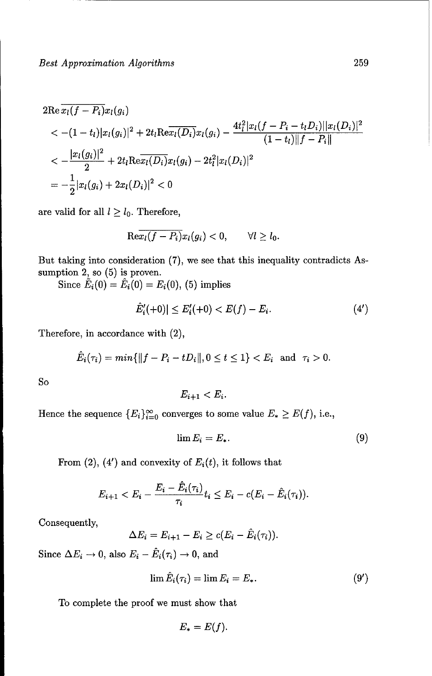$$
2\operatorname{Re} x_l(f - P_i)x_l(g_i)
$$
  

$$
< -(1-t_l)|x_l(g_i)|^2 + 2t_l \operatorname{Re} \overline{x_l(D_i)}x_l(g_i) - \frac{4t_l^2|x_l(f - P_i - t_lD_i)||x_l(D_i)|^2}{(1-t_l)||f - P_i||}
$$
  

$$
< -\frac{|x_l(g_i)|^2}{2} + 2t_l \operatorname{Re} \overline{x_l(D_i)}x_l(g_i) - 2t_l^2|x_l(D_i)|^2
$$
  

$$
= -\frac{1}{2}|x_l(g_i) + 2x_l(D_i)|^2 < 0
$$

are valid for all  $l \geq l_0$ . Therefore,

$$
\overline{\text{Re}x_l(f-P_i)}x_l(g_i) < 0, \qquad \forall l \ge l_0.
$$

But taking into consideration (7), we see that this inequality contradicts Assumption 2, so (5) is proven.

Since  $E_i(0) = E_i(0) = E_i(0)$ , (5) implies

$$
\hat{E}'_i(+0)| \le E'_i(+0) < E(f) - E_i. \tag{4'}
$$

Therefore, in accordance with (2),

$$
\hat{E}_i(\tau_i) = \min\{\|f - P_i - tD_i\|, 0 \le t \le 1\} < E_i \quad \text{and} \quad \tau_i > 0.
$$

So

$$
E_{i+1} < E_i.
$$

Hence the sequence  ${E_i}_{i=0}^{\infty}$  converges to some value  $E_* \ge E(f)$ , i.e.,

$$
\lim E_i = E_*.\tag{9}
$$

From (2), (4') and convexity of  $E_i(t)$ , it follows that

$$
E_{i+1} < E_i - \frac{E_i - \hat{E}_i(\tau_i)}{\tau_i} t_i \leq E_i - c(E_i - \hat{E}_i(\tau_i)).
$$

Consequently,

$$
\Delta E_i = E_{i+1} - E_i \geq c(E_i - \hat{E}_i(\tau_i)).
$$

Since  $\Delta E_i \rightarrow 0$ , also  $E_i - \hat{E}_i(\tau_i) \rightarrow 0$ , and

$$
\lim \hat{E}_i(\tau_i) = \lim E_i = E_*.\tag{9'}
$$

To complete the proof we must show that

$$
E_* = E(f).
$$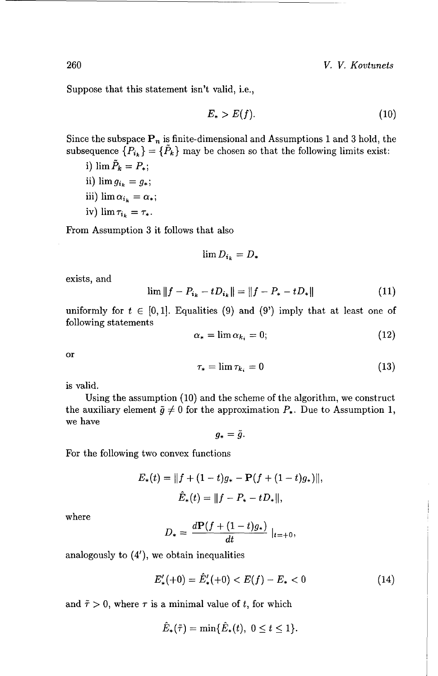Suppose that this statement isn't valid, i.e.,

$$
E_* > E(f). \tag{10}
$$

Since the subspace  $P_n$  is finite-dimensional and Assumptions 1 and 3 hold, the subsequence  ${P_i}_k$  =  ${P_k}$  may be chosen so that the following limits exist:

- i)  $\lim \tilde{P}_k = P_*$ ;
- ii)  $\lim g_{i_k} = g_*;$
- iii)  $\lim \alpha_{i_k} = \alpha_*;$
- iv)  $\lim \tau_{i_k} = \tau_*$ .

From Assumption 3 it follows that also

$$
\lim D_{i_k} = D_*
$$

exists, and

$$
\lim \|f - P_{i_k} - t D_{i_k}\| = \|f - P_* - t D_*\| \tag{11}
$$

uniformly for  $t \in [0, 1]$ . Equalities (9) and (9') imply that at least one of following statements

$$
\alpha_* = \lim \alpha_{k_i} = 0; \tag{12}
$$

or

$$
\tau_* = \lim \tau_{k_i} = 0 \tag{13}
$$

is valid.

Using the assumption (10) and the scheme of the algorithm, we construct the auxiliary element  $\tilde{g} \neq 0$  for the approximation  $P_*$ . Due to Assumption 1, we have

 $g_*=\tilde{g}.$ 

For the following two convex functions

$$
E_*(t) = ||f + (1-t)g_* - P(f + (1-t)g_*)||,
$$
  

$$
\hat{E}_*(t) = ||f - P_* - tD_*||,
$$

where

$$
D_* = \frac{d\mathbf{P}(f + (1-t)g_*)}{dt} \big|_{t=+0},
$$

analogously to  $(4')$ , we obtain inequalities

$$
E'_{*}(+0) = \hat{E}'_{*}(+0) < E(f) - E_{*} < 0 \tag{14}
$$

and  $\tilde{\tau} > 0$ , where  $\tau$  is a minimal value of t, for which

$$
\hat{E}_*(\tilde{\tau}) = \min\{\hat{E}_*(t),\ 0 \le t \le 1\}.
$$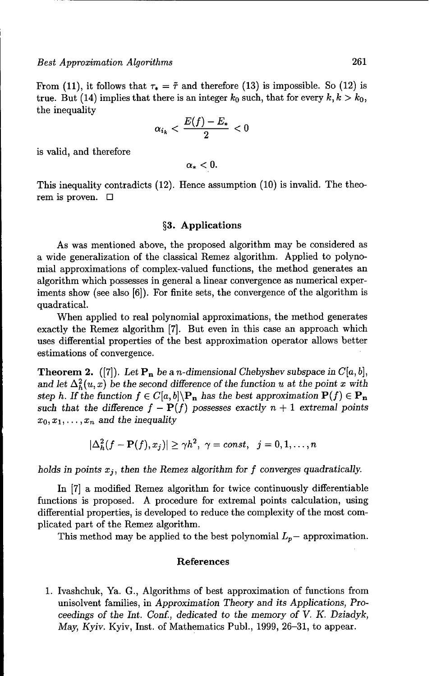#### *Best Approximation Algorithms* 261

From (11), it follows that  $\tau_* = \tilde{\tau}$  and therefore (13) is impossible. So (12) is true. But (14) implies that there is an integer  $k_0$  such, that for every  $k, k > k_0$ , the inequality

$$
\alpha_{i_k} < \frac{E(f)-E_*}{2} < 0
$$

is valid, and therefore

$$
\alpha_{*}<0.
$$

This inequality contradicts (12). Hence assumption (10) is invalid. The theorem is proven. **0**

#### §3. Applications

As was mentioned above, the proposed algorithm may be considered as a wide generalization of the classical Remez algorithm. Applied to polynomial approximations of complex-valued functions, the method generates an algorithm which possesses in general a linear convergence as numerical experiments show (see also [6]). For finite sets, the convergence of the algorithm is quadratical.

When applied to real polynomial approximations, the method generates exactly the Remez algorithm [7]. But even in this case an approach which uses differential properties of the best approximation operator allows better estimations of convergence.

**Theorem 2.** ([7]). Let  $P_n$  be a *n*-dimensional Chebyshev subspace in  $C[a, b]$ , and let  $\Delta_h^2(u, x)$  be the second difference of the function u at the point x with *step h.* If the function  $f \in C[a, b] \backslash P_n$  has the best approximation  $P(f) \in P_n$ such that the difference  $f - P(f)$  possesses exactly  $n + 1$  extremal points  $x_0, x_1, \ldots, x_n$  and the inequality

$$
|\Delta_h^2(f-\mathbf{P}(f),x_j)|\geq \gamma h^2,\,\,\gamma=const,\ \ j=0,1,\ldots,n
$$

*holds in points xj, then the Remez algorithm for f converges quadratically.*

In [7] a modified Remez algorithm for twice continuously differentiable functions is proposed. A procedure for extremal points calculation, using differential properties, is developed to reduce the complexity of the most complicated part of the Remez algorithm.

This method may be applied to the best polynomial  $L_p$  – approximation.

#### References

1. Ivashchuk, Ya. G., Algorithms of best approximation of functions from unisolvent families, in *Approximation Theory and its Applications, Proceedings of the Int. Conf., dedicated to the memory of V. K. Dziadyk, May, Kyiv.* Kyiv, Inst. of Mathematics Publ., 1999, 26-31, to appear.